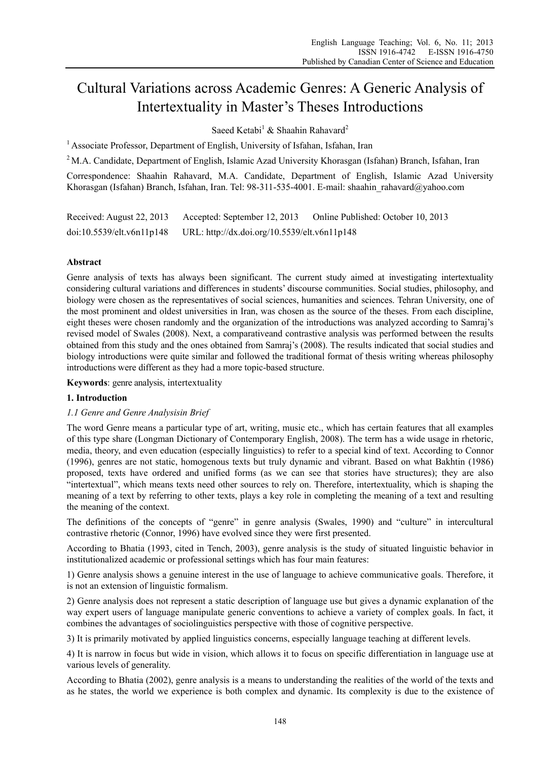# Cultural Variations across Academic Genres: A Generic Analysis of Intertextuality in Master's Theses Introductions

Saeed Ketabi<sup>1</sup> & Shaahin Rahavard<sup>2</sup>

<sup>1</sup> Associate Professor, Department of English, University of Isfahan, Isfahan, Iran

2 M.A. Candidate, Department of English, Islamic Azad University Khorasgan (Isfahan) Branch, Isfahan, Iran

Correspondence: Shaahin Rahavard, M.A. Candidate, Department of English, Islamic Azad University Khorasgan (Isfahan) Branch, Isfahan, Iran. Tel: 98-311-535-4001. E-mail: shaahin\_rahavard@yahoo.com

| Received: August 22, 2013 | Accepted: September 12, 2013                 | Online Published: October 10, 2013 |
|---------------------------|----------------------------------------------|------------------------------------|
| doi:10.5539/elt.v6n11p148 | URL: http://dx.doi.org/10.5539/elt.v6n11p148 |                                    |

## **Abstract**

Genre analysis of texts has always been significant. The current study aimed at investigating intertextuality considering cultural variations and differences in students' discourse communities. Social studies, philosophy, and biology were chosen as the representatives of social sciences, humanities and sciences. Tehran University, one of the most prominent and oldest universities in Iran, was chosen as the source of the theses. From each discipline, eight theses were chosen randomly and the organization of the introductions was analyzed according to Samraj's revised model of Swales (2008). Next, a comparativeand contrastive analysis was performed between the results obtained from this study and the ones obtained from Samraj's (2008). The results indicated that social studies and biology introductions were quite similar and followed the traditional format of thesis writing whereas philosophy introductions were different as they had a more topic-based structure.

**Keywords**: genre analysis, intertextuality

## **1. Introduction**

#### *1.1 Genre and Genre Analysisin Brief*

The word Genre means a particular type of art, writing, music etc., which has certain features that all examples of this type share (Longman Dictionary of Contemporary English, 2008). The term has a wide usage in rhetoric, media, theory, and even education (especially linguistics) to refer to a special kind of text. According to Connor (1996), genres are not static, homogenous texts but truly dynamic and vibrant. Based on what Bakhtin (1986) proposed, texts have ordered and unified forms (as we can see that stories have structures); they are also "intertextual", which means texts need other sources to rely on. Therefore, intertextuality, which is shaping the meaning of a text by referring to other texts, plays a key role in completing the meaning of a text and resulting the meaning of the context.

The definitions of the concepts of "genre" in genre analysis (Swales, 1990) and "culture" in intercultural contrastive rhetoric (Connor, 1996) have evolved since they were first presented.

According to Bhatia (1993, cited in Tench, 2003), genre analysis is the study of situated linguistic behavior in institutionalized academic or professional settings which has four main features:

1) Genre analysis shows a genuine interest in the use of language to achieve communicative goals. Therefore, it is not an extension of linguistic formalism.

2) Genre analysis does not represent a static description of language use but gives a dynamic explanation of the way expert users of language manipulate generic conventions to achieve a variety of complex goals. In fact, it combines the advantages of sociolinguistics perspective with those of cognitive perspective.

3) It is primarily motivated by applied linguistics concerns, especially language teaching at different levels.

4) It is narrow in focus but wide in vision, which allows it to focus on specific differentiation in language use at various levels of generality.

According to Bhatia (2002), genre analysis is a means to understanding the realities of the world of the texts and as he states, the world we experience is both complex and dynamic. Its complexity is due to the existence of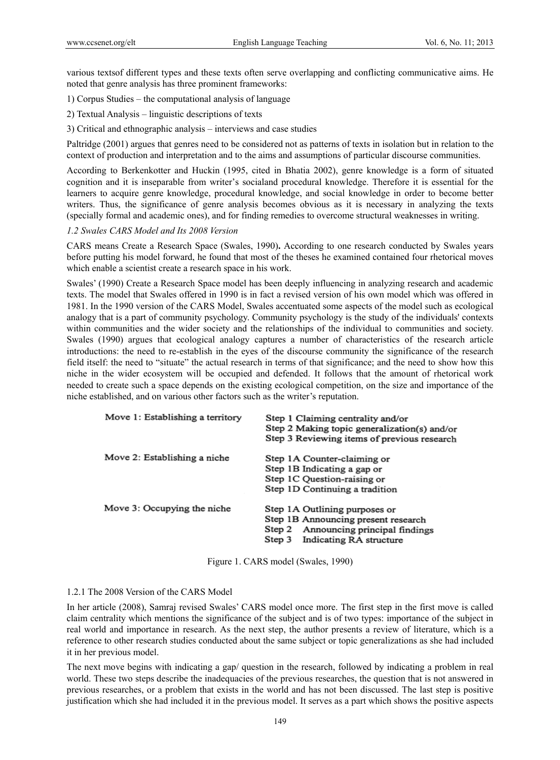various textsof different types and these texts often serve overlapping and conflicting communicative aims. He noted that genre analysis has three prominent frameworks:

1) Corpus Studies – the computational analysis of language

2) Textual Analysis – linguistic descriptions of texts

3) Critical and ethnographic analysis – interviews and case studies

Paltridge (2001) argues that genres need to be considered not as patterns of texts in isolation but in relation to the context of production and interpretation and to the aims and assumptions of particular discourse communities.

According to Berkenkotter and Huckin (1995, cited in Bhatia 2002), genre knowledge is a form of situated cognition and it is inseparable from writer's socialand procedural knowledge. Therefore it is essential for the learners to acquire genre knowledge, procedural knowledge, and social knowledge in order to become better writers. Thus, the significance of genre analysis becomes obvious as it is necessary in analyzing the texts (specially formal and academic ones), and for finding remedies to overcome structural weaknesses in writing.

### *1.2 Swales CARS Model and Its 2008 Version*

CARS means Create a Research Space (Swales, 1990)**.** According to one research conducted by Swales years before putting his model forward, he found that most of the theses he examined contained four rhetorical moves which enable a scientist create a research space in his work.

Swales' (1990) Create a Research Space model has been deeply influencing in analyzing research and academic texts. The model that Swales offered in 1990 is in fact a revised version of his own model which was offered in 1981. In the 1990 version of the CARS Model, Swales accentuated some aspects of the model such as ecological analogy that is a part of community psychology. Community psychology is the study of the individuals' contexts within communities and the wider society and the relationships of the individual to communities and society. Swales (1990) argues that ecological analogy captures a number of characteristics of the research article introductions: the need to re-establish in the eyes of the discourse community the significance of the research field itself: the need to "situate" the actual research in terms of that significance; and the need to show how this niche in the wider ecosystem will be occupied and defended. It follows that the amount of rhetorical work needed to create such a space depends on the existing ecological competition, on the size and importance of the niche established, and on various other factors such as the writer's reputation.

| Move 1: Establishing a territory | Step 1 Claiming centrality and/or<br>Step 2 Making topic generalization(s) and/or<br>Step 3 Reviewing items of previous research                  |
|----------------------------------|---------------------------------------------------------------------------------------------------------------------------------------------------|
| Move 2: Establishing a niche     | Step 1A Counter-claiming or<br>Step 1B Indicating a gap or<br>Step 1C Question-raising or<br>Step 1D Continuing a tradition                       |
| Move 3: Occupying the niche      | Step 1A Outlining purposes or<br>Step 1B Announcing present research<br>Step 2 Announcing principal findings<br>Indicating RA structure<br>Step 3 |

Figure 1. CARS model (Swales, 1990)

#### 1.2.1 The 2008 Version of the CARS Model

In her article (2008), Samraj revised Swales' CARS model once more. The first step in the first move is called claim centrality which mentions the significance of the subject and is of two types: importance of the subject in real world and importance in research. As the next step, the author presents a review of literature, which is a reference to other research studies conducted about the same subject or topic generalizations as she had included it in her previous model.

The next move begins with indicating a gap/ question in the research, followed by indicating a problem in real world. These two steps describe the inadequacies of the previous researches, the question that is not answered in previous researches, or a problem that exists in the world and has not been discussed. The last step is positive justification which she had included it in the previous model. It serves as a part which shows the positive aspects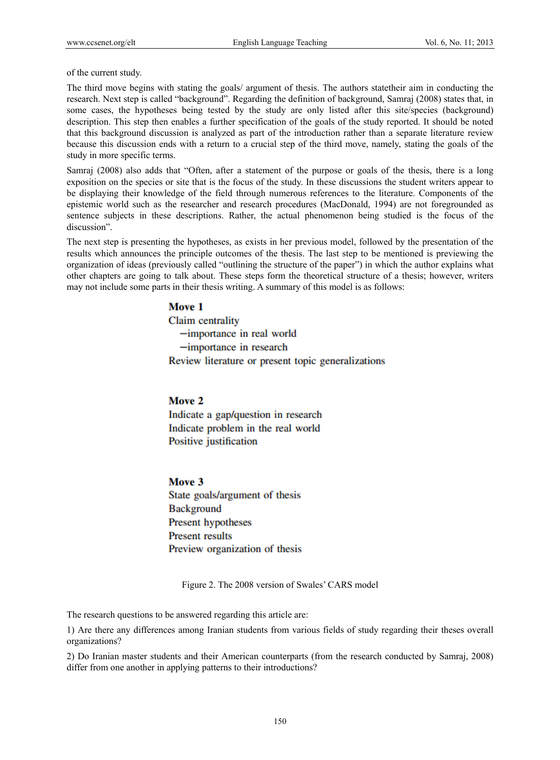of the current study.

The third move begins with stating the goals/ argument of thesis. The authors statetheir aim in conducting the research. Next step is called "background". Regarding the definition of background, Samraj (2008) states that, in some cases, the hypotheses being tested by the study are only listed after this site/species (background) description. This step then enables a further specification of the goals of the study reported. It should be noted that this background discussion is analyzed as part of the introduction rather than a separate literature review because this discussion ends with a return to a crucial step of the third move, namely, stating the goals of the study in more specific terms.

Samraj (2008) also adds that "Often, after a statement of the purpose or goals of the thesis, there is a long exposition on the species or site that is the focus of the study. In these discussions the student writers appear to be displaying their knowledge of the field through numerous references to the literature. Components of the epistemic world such as the researcher and research procedures (MacDonald, 1994) are not foregrounded as sentence subjects in these descriptions. Rather, the actual phenomenon being studied is the focus of the discussion".

The next step is presenting the hypotheses, as exists in her previous model, followed by the presentation of the results which announces the principle outcomes of the thesis. The last step to be mentioned is previewing the organization of ideas (previously called "outlining the structure of the paper") in which the author explains what other chapters are going to talk about. These steps form the theoretical structure of a thesis; however, writers may not include some parts in their thesis writing. A summary of this model is as follows:

## Move 1

Claim centrality -importance in real world  $-importance$  in research Review literature or present topic generalizations

## Move 2

Indicate a gap/question in research Indicate problem in the real world Positive justification

#### Move 3

State goals/argument of thesis **Background** Present hypotheses **Present results** Preview organization of thesis

Figure 2. The 2008 version of Swales' CARS model

The research questions to be answered regarding this article are:

1) Are there any differences among Iranian students from various fields of study regarding their theses overall organizations?

2) Do Iranian master students and their American counterparts (from the research conducted by Samraj, 2008) differ from one another in applying patterns to their introductions?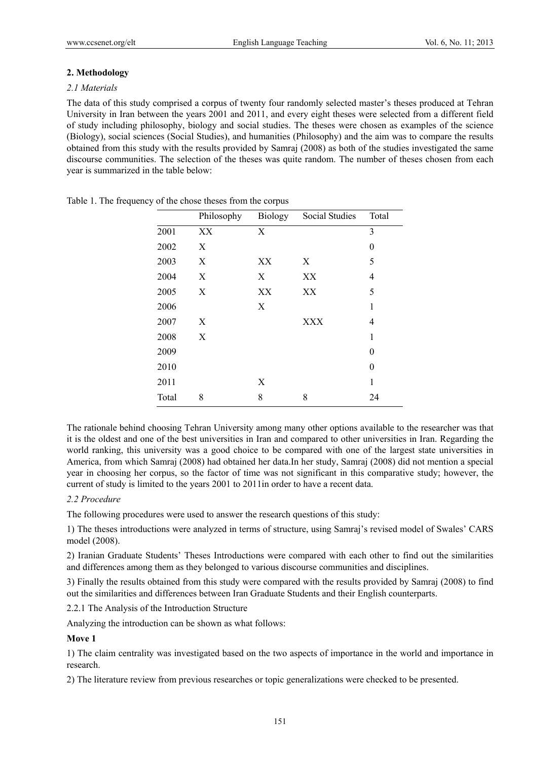## **2. Methodology**

## *2.1 Materials*

The data of this study comprised a corpus of twenty four randomly selected master's theses produced at Tehran University in Iran between the years 2001 and 2011, and every eight theses were selected from a different field of study including philosophy, biology and social studies. The theses were chosen as examples of the science (Biology), social sciences (Social Studies), and humanities (Philosophy) and the aim was to compare the results obtained from this study with the results provided by Samraj (2008) as both of the studies investigated the same discourse communities. The selection of the theses was quite random. The number of theses chosen from each year is summarized in the table below:

|       | Philosophy | <b>Biology</b> | Social Studies | Total    |
|-------|------------|----------------|----------------|----------|
| 2001  | XX         | X              |                | 3        |
| 2002  | X          |                |                | $\theta$ |
| 2003  | X          | XX             | X              | 5        |
| 2004  | X          | X              | XX             | 4        |
| 2005  | X          | XX             | XX             | 5        |
| 2006  |            | X              |                | 1        |
| 2007  | X          |                | XXX            | 4        |
| 2008  | X          |                |                | 1        |
| 2009  |            |                |                | $\theta$ |
| 2010  |            |                |                | $\theta$ |
| 2011  |            | X              |                | 1        |
| Total | 8          | 8              | 8              | 24       |

Table 1. The frequency of the chose theses from the corpus

The rationale behind choosing Tehran University among many other options available to the researcher was that it is the oldest and one of the best universities in Iran and compared to other universities in Iran. Regarding the world ranking, this university was a good choice to be compared with one of the largest state universities in America, from which Samraj (2008) had obtained her data.In her study, Samraj (2008) did not mention a special year in choosing her corpus, so the factor of time was not significant in this comparative study; however, the current of study is limited to the years 2001 to 2011in order to have a recent data.

## *2.2 Procedure*

The following procedures were used to answer the research questions of this study:

1) The theses introductions were analyzed in terms of structure, using Samraj's revised model of Swales' CARS model (2008).

2) Iranian Graduate Students' Theses Introductions were compared with each other to find out the similarities and differences among them as they belonged to various discourse communities and disciplines.

3) Finally the results obtained from this study were compared with the results provided by Samraj (2008) to find out the similarities and differences between Iran Graduate Students and their English counterparts.

2.2.1 The Analysis of the Introduction Structure

Analyzing the introduction can be shown as what follows:

#### **Move 1**

1) The claim centrality was investigated based on the two aspects of importance in the world and importance in research.

2) The literature review from previous researches or topic generalizations were checked to be presented.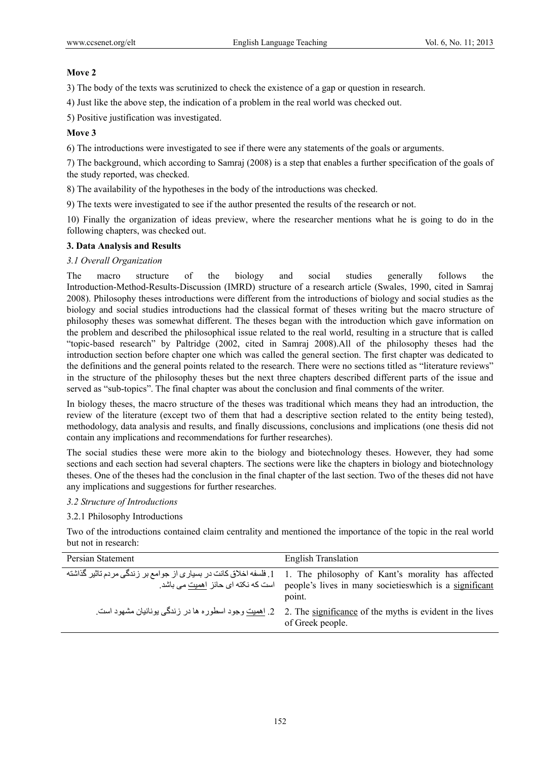## **Move 2**

3) The body of the texts was scrutinized to check the existence of a gap or question in research.

4) Just like the above step, the indication of a problem in the real world was checked out.

5) Positive justification was investigated.

## **Move 3**

6) The introductions were investigated to see if there were any statements of the goals or arguments.

7) The background, which according to Samraj (2008) is a step that enables a further specification of the goals of the study reported, was checked.

8) The availability of the hypotheses in the body of the introductions was checked.

9) The texts were investigated to see if the author presented the results of the research or not.

10) Finally the organization of ideas preview, where the researcher mentions what he is going to do in the following chapters, was checked out.

## **3. Data Analysis and Results**

## *3.1 Overall Organization*

The macro structure of the biology and social studies generally follows the Introduction-Method-Results-Discussion (IMRD) structure of a research article (Swales, 1990, cited in Samraj 2008). Philosophy theses introductions were different from the introductions of biology and social studies as the biology and social studies introductions had the classical format of theses writing but the macro structure of philosophy theses was somewhat different. The theses began with the introduction which gave information on the problem and described the philosophical issue related to the real world, resulting in a structure that is called "topic-based research" by Paltridge (2002, cited in Samraj 2008).All of the philosophy theses had the introduction section before chapter one which was called the general section. The first chapter was dedicated to the definitions and the general points related to the research. There were no sections titled as "literature reviews" in the structure of the philosophy theses but the next three chapters described different parts of the issue and served as "sub-topics". The final chapter was about the conclusion and final comments of the writer.

In biology theses, the macro structure of the theses was traditional which means they had an introduction, the review of the literature (except two of them that had a descriptive section related to the entity being tested), methodology, data analysis and results, and finally discussions, conclusions and implications (one thesis did not contain any implications and recommendations for further researches).

The social studies these were more akin to the biology and biotechnology theses. However, they had some sections and each section had several chapters. The sections were like the chapters in biology and biotechnology theses. One of the theses had the conclusion in the final chapter of the last section. Two of the theses did not have any implications and suggestions for further researches.

#### *3.2 Structure of Introductions*

#### 3.2.1 Philosophy Introductions

Two of the introductions contained claim centrality and mentioned the importance of the topic in the real world but not in research:

| Persian Statement                                                                                                                                          | <b>English Translation</b>                                                                                                          |
|------------------------------------------------------------------------------------------------------------------------------------------------------------|-------------------------------------------------------------------------------------------------------------------------------------|
| l . The philosophy of Kant's morality has affected . فلسفه اخلاق كانت در بسيار ي از جوامع بر زندگي مردم تاثير گذاشته<br>است که نکته ای حائز اهمیت می باشد. | people's lives in many societies which is a significant<br>point.                                                                   |
|                                                                                                                                                            | 2. The significance of the myths is evident in the lives ـ2. الهميت وجود اسطوره ها در زندگی بونانيان مشهود است.<br>of Greek people. |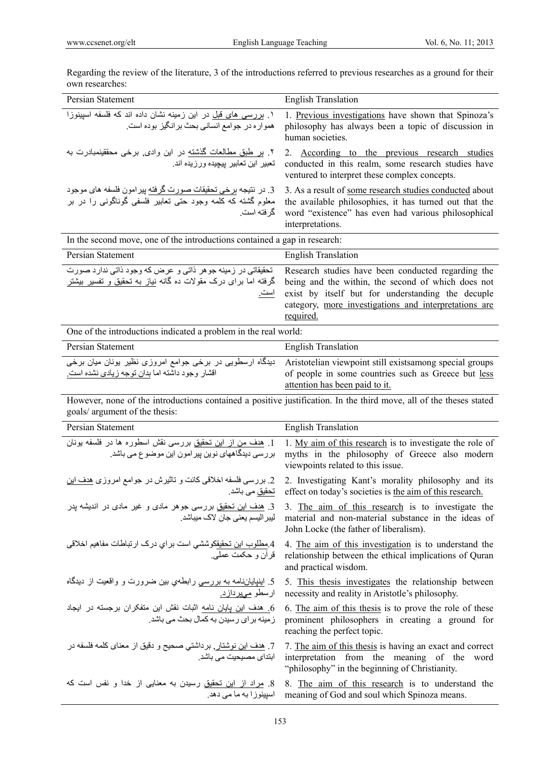| Regarding the review of the literature, 3 of the introductions referred to previous researches as a ground for their |  |
|----------------------------------------------------------------------------------------------------------------------|--|
| own researches:                                                                                                      |  |

| Persian Statement                                                                                                                                                  | <b>English Translation</b>                                                                                                                                                                                                          |
|--------------------------------------------------------------------------------------------------------------------------------------------------------------------|-------------------------------------------------------------------------------------------------------------------------------------------------------------------------------------------------------------------------------------|
| ۱ <sub>.</sub> بررسی های ق <u>بل</u> در این زمینه نشان داده اند که فلسفه اسیپنوزا<br>همواره در جوامع انساني بحث برانگيز بوده است.                                  | 1. Previous investigations have shown that Spinoza's<br>philosophy has always been a topic of discussion in<br>human societies.                                                                                                     |
| ۲ <sub>.</sub> ب <u>ر طبق مطالعات گذشته</u> در این وادی <sub>،</sub> برخی محققینمبادرت به<br>تعبير اين تعابير بيجيده ورزيده اند.                                   | 2. According to the previous research studies<br>conducted in this realm, some research studies have<br>ventured to interpret these complex concepts.                                                                               |
| 3. در نتیجه <u>بر خی تحقیقات صورت گرفته</u> پیرامون فلسفه ها <i>ی</i> موجود<br>معلوم گشته که کلمه وجود حتی تعابیر فلسفی گوناگونی را در بر<br>گر فته است ِ          | 3. As a result of some research studies conducted about<br>the available philosophies, it has turned out that the<br>word "existence" has even had various philosophical<br>interpretations.                                        |
| In the second move, one of the introductions contained a gap in research:                                                                                          |                                                                                                                                                                                                                                     |
| Persian Statement                                                                                                                                                  | <b>English Translation</b>                                                                                                                                                                                                          |
| تحقیقاتی در زمینه جوهر ذاتی و عرض كه وجود ذاتی ندارد صورت<br>گرفته اما برای درک مقولات ده گانه نیاز به تحقیق و تفسیر بیشتر<br><u>است ِ</u>                         | Research studies have been conducted regarding the<br>being and the within, the second of which does not<br>exist by itself but for understanding the decuple<br>category, more investigations and interpretations are<br>required. |
| One of the introductions indicated a problem in the real world:                                                                                                    |                                                                                                                                                                                                                                     |
| Persian Statement                                                                                                                                                  | <b>English Translation</b>                                                                                                                                                                                                          |
| دیدگاه ارسطویی در برخی جوامع امروزی نظیر یونان میان برخی<br>اقشار وجود داشته اما بدان توجه زيادي نشده است.                                                         | Aristotelian viewpoint still existsamong special groups<br>of people in some countries such as Greece but less<br>attention has been paid to it.                                                                                    |
| goals/ argument of the thesis:                                                                                                                                     | However, none of the introductions contained a positive justification. In the third move, all of the theses stated                                                                                                                  |
|                                                                                                                                                                    |                                                                                                                                                                                                                                     |
| Persian Statement                                                                                                                                                  | <b>English Translation</b>                                                                                                                                                                                                          |
| 1. هدف من از این تحقیق بررسی نقش اسطوره ها در فلسفه بونان<br>بررسی دیدگاههای نوین پیرامون این موضوع می باشد.                                                       | 1. My aim of this research is to investigate the role of<br>myths in the philosophy of Greece also modern<br>viewpoints related to this issue.                                                                                      |
| 2. بررسي فلسفه اخلاقي كانت و تاثيرش در جوامع امروزي <u>هدف اين</u><br>تحقیق م <i>ی</i> باشد ِ                                                                      | 2. Investigating Kant's morality philosophy and its<br>effect on today's societies is the aim of this research.                                                                                                                     |
| 3. <u>هدف این تحقیق</u> بررسی جوهر مادی و غیر مادی در اندیشه پدر<br>ليبر اليسم يعني جان لاک ميباشد.                                                                | 3. The aim of this research is to investigate the<br>material and non-material substance in the ideas of<br>John Locke (the father of liberalism).                                                                                  |
| 4. <u>مطلوب اين تحقي</u> قكوششي است براي درك ارتباطات مفاهيم اخلاقى<br>قر آن و حکمت عملی ِ                                                                         | 4. The aim of this investigation is to understand the<br>relationship between the ethical implications of Quran<br>and practical wisdom.                                                                                            |
| 5. اينياياننامه به بررسي رابطهي بين ضرورت و واقعيت از ديدگاه<br>ارسطو مىيردازد.                                                                                    | 5. This thesis investigates the relationship between<br>necessity and reality in Aristotle's philosophy.                                                                                                                            |
| 6. هدف این پایان نامه اثبات نقش این متفکران برجسته در ایجاد<br>ز مبنه بر ای ر سبدن به کمال بحث می باشد.                                                            | 6. The aim of this thesis is to prove the role of these<br>prominent philosophers in creating a ground for<br>reaching the perfect topic.                                                                                           |
| 7. <u>هدف اين نوشتار ٍ</u> برداشتي صحيح و دقيق از معناى كلمه فلسفه در<br>ابتدای مصبحیت می باشد.<br>8. <u>مراد از این تحقیق</u> رسیدن به معنایی از خدا و نفس است که | 7. The aim of this thesis is having an exact and correct<br>interpretation from the meaning of the word<br>"philosophy" in the beginning of Christianity.                                                                           |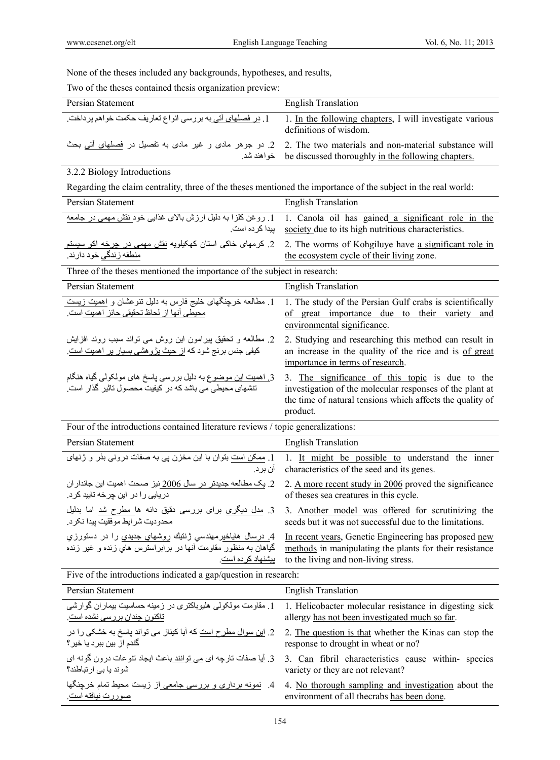صوررت نيافته است.

None of the theses included any backgrounds, hypotheses, and results,

Two of the theses contained thesis organization preview:

| Persian Statement                                                                                              | <b>English Translation</b>                                                         |
|----------------------------------------------------------------------------------------------------------------|------------------------------------------------------------------------------------|
| 1. در فصلهای آتی به بررسی انواع تعاریف حکمت خواهم پرداخت ِ                                                     | 1. In the following chapters, I will investigate various<br>definitions of wisdom. |
| 2 . The two materials and non-material substance will السادى و غير مادى به تفصيل در فصلهاى أتى بحث             | be discussed thoroughly in the following chapters.                                 |
| 3.2.2 Biology Introductions                                                                                    |                                                                                    |
| Regarding the claim centrality, three of the theses mentioned the importance of the subject in the real world: |                                                                                    |
| Persian Statement                                                                                              | <b>English Translation</b>                                                         |
| ۔ 1 ۔ 1 روغن کلز ا په دلیل ارزش پالای غذایے خود نقش مهمے در حامعه                                              | Canola oil has gained a significant role in the                                    |

| 1. روغن كلزا به دليل ارزش بالاي غذايي خود نقش مهمي در جامعه<br>بيدا كر ده است.                           | 1. Canola oil has gained a significant role in the<br>society due to its high nutritious characteristics.    |  |
|----------------------------------------------------------------------------------------------------------|--------------------------------------------------------------------------------------------------------------|--|
| 2. کرمهای خاکی استان کهکیلویه <u>نقش مهمی در چرخه اکو سیستم</u>                                          | 2. The worms of Kohgiluye have a significant role in                                                         |  |
| منطقه زندگي خود دارند.                                                                                   | the ecosystem cycle of their living zone.                                                                    |  |
| Three of the theses mentioned the importance of the subject in research:                                 |                                                                                                              |  |
| Persian Statement                                                                                        | <b>English Translation</b>                                                                                   |  |
| <u>1</u> مطالعه خرچنگهای خلیج فارس به دلیل ننوعشان و <u>اهمیت زیست</u>                                   | 1. The study of the Persian Gulf crabs is scientifically                                                     |  |
| محبطی آنها از لحاظ تحقیقی حائز اهمیت است.                                                                | of great importance due to their variety and<br>environmental significance.                                  |  |
| 2. مطالعه و تحقیق پیرامون این روش می تواند سبب روند افزایش                                               | 2. Studying and researching this method can result in                                                        |  |
| کیفی جنس برنج شود که ا <u>ز</u> حیث پژوهشی بسیار پر اهمیت است.                                           | an increase in the quality of the rice and is of great<br>importance in terms of research.                   |  |
| 3 <u>. اهمیت این موضو</u> ع به دلیل بررسی پاسخ های مولکولی گیاه هنگام                                    | 3. The significance of this topic is due to the                                                              |  |
| تنشهای محیطی می باشد که در کیفیت محصول تاثیر گذار است.                                                   | investigation of the molecular responses of the plant at                                                     |  |
|                                                                                                          | the time of natural tensions which affects the quality of                                                    |  |
|                                                                                                          | product.                                                                                                     |  |
| Four of the introductions contained literature reviews / topic generalizations:                          |                                                                                                              |  |
| Persian Statement                                                                                        | <b>English Translation</b>                                                                                   |  |
| 1. ممكن است بتوان با اين مخزن پي به صفات دروني بذر و ژنهاي<br>آن بر د.                                   | 1. It might be possible to understand the inner<br>characteristics of the seed and its genes.                |  |
| 2. يك مطالعه جديدتر در سال 2006 نيز صحت اهميت اين جاندار ان                                              | 2. A more recent study in 2006 proved the significance                                                       |  |
| دریایی را در این چرخه تایید کرد.                                                                         | of theses sea creatures in this cycle.                                                                       |  |
| 3. <u>مدل دیگری</u> برای بررسی دقیق دانه ه <u>ا مطرح شد</u> اما بدلیل<br>محدوديت شرايط موفقيت بيدا نكرد. | 3. Another model was offered for scrutinizing the<br>seeds but it was not successful due to the limitations. |  |
| 4. درسال هایاخیرمهندسی ژنتیك روشهای جدیدی را در دستورزی                                                  | In recent years, Genetic Engineering has proposed new                                                        |  |
| گیاهان به منظور مقاومت أنها در برابراسترس های زنده و غیر زنده                                            | methods in manipulating the plants for their resistance                                                      |  |
| بِيشنهاد كر ده است.                                                                                      | to the living and non-living stress.                                                                         |  |
| Five of the introductions indicated a gap/question in research:                                          |                                                                                                              |  |
| Persian Statement                                                                                        | <b>English Translation</b>                                                                                   |  |
| 1. مقاومت مولکولی هلیوباکتری در زمینه حساسیت بیماران گوارشی                                              | 1. Helicobacter molecular resistance in digesting sick                                                       |  |
| تاکنون چندان بررسی نشده است.                                                                             | allergy has not been investigated much so far.                                                               |  |
| 2. ای <u>ن سوال مطرح است</u> که آیا کیناز می تواند پاسخ به خشکی را در                                    | 2. The question is that whether the Kinas can stop the                                                       |  |
| گندم از بين ببر د يا خير ؟                                                                               | response to drought in wheat or no?                                                                          |  |
| 3. أيا صفات تارچه اي <u>مي توانند ب</u> اعث ايجاد تنوعات درون گونه اي                                    | 3. Can fibril characteristics cause within-species                                                           |  |
| شوند يا بي ارتباطند؟                                                                                     | variety or they are not relevant?                                                                            |  |

4 4. <u>No thorough sampling and investigation</u> about the ينمونه برداری و بررسی جامعی از زيست محيط تمام خرچنگها environment of all thecrabs has been done.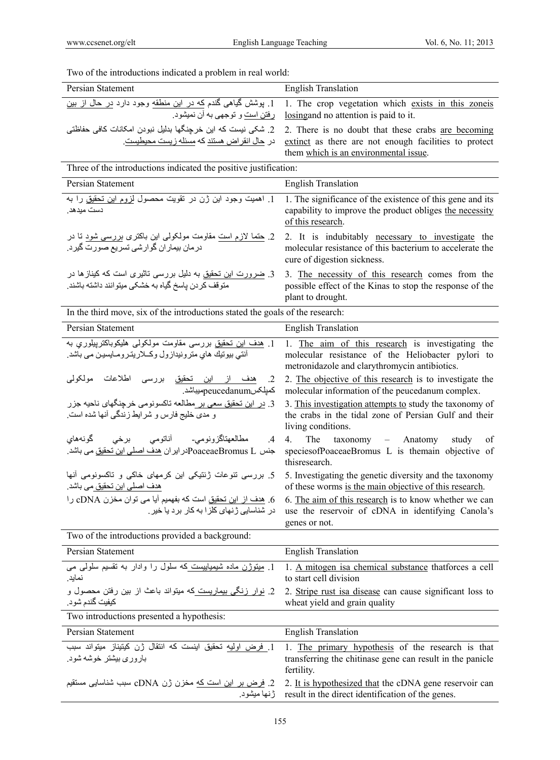Two of the introductions indicated a problem in real world:

| Persian Statement                                                                                                             | <b>English Translation</b>                                                                                                                             |
|-------------------------------------------------------------------------------------------------------------------------------|--------------------------------------------------------------------------------------------------------------------------------------------------------|
| 1. پوشش گیاهی گندم که در این منطقه وجود دارد در حال از بین                                                                    | 1. The crop vegetation which exists in this zoneis                                                                                                     |
| رفتن است و توجهي به آن نميشود.                                                                                                | losing and no attention is paid to it.                                                                                                                 |
| 2. شكى نيست كه اين خرجنگها بدليل نبودن امكانات كافى حفاظتى<br>در حال انقراض هستند كه مسئله زيست محيطيست.                      | 2. There is no doubt that these crabs are becoming<br>extinct as there are not enough facilities to protect                                            |
|                                                                                                                               | them which is an environmental issue.                                                                                                                  |
| Three of the introductions indicated the positive justification:                                                              |                                                                                                                                                        |
| Persian Statement                                                                                                             | <b>English Translation</b>                                                                                                                             |
| 1. اهميت وجود اين ژن در تقويت محصول لزوم اين تحقيق را به<br>دست میدهد.                                                        | 1. The significance of the existence of this gene and its<br>capability to improve the product obliges the necessity<br>of this research.              |
| 2. <u>حتما لازم است</u> مقاومت مولکول <sub>ی</sub> این باکتری <u>بررسی شود</u> تا در<br>درمان بیماران گوارشی تسریع صورت گیرد. | 2. It is indubitably necessary to investigate the<br>molecular resistance of this bacterium to accelerate the<br>cure of digestion sickness.           |
| 3. ضرورت این تحقیق به دلیل بررسی تاثیری است که کیناز ها در<br>متوقف كردن باسخ گياه به خشكي ميتوانند داشته باشند.              | 3. The necessity of this research comes from the<br>possible effect of the Kinas to stop the response of the<br>plant to drought.                      |
| In the third move, six of the introductions stated the goals of the research:                                                 |                                                                                                                                                        |
| Persian Statement                                                                                                             | <b>English Translation</b>                                                                                                                             |
| 1. هدف اين تحقيق بررسي مقاومت مولكولي هليكوباكترپيلوري به<br>أنتي بيونيك هاي مترونيدازول وكـــلاريتـرومــايسيـن مي باشد.      | 1. The aim of this research is investigating the<br>molecular resistance of the Heliobacter pylori to<br>metronidazole and clarythromycin antibiotics. |
| 2. <u>هدف از این تحقیق</u> بررسی اطلاعات مولکولی<br>كميلكسpeucedanumعميباشد.                                                  | 2. The objective of this research is to investigate the<br>molecular information of the peucedanum complex.                                            |
| 3. در این تحقیق سعی بر مطالعه تاکسونومی خرچنگهای ناحیه جزر<br>و مدى خليج فارس و شرايط زندگى أنها شده است.                     | 3. This investigation attempts to study the taxonomy of<br>the crabs in the tidal zone of Persian Gulf and their<br>living conditions.                 |
| مطالعهناگزونومي۔ أناتومي برخي گونههاي<br>$\mathcal{A}$<br>جنس PoaceaeBromus Lدر ایر ان هدف اصلی این تحقیق می باشد.            | The<br>taxonomy – Anatomy<br>study<br>4.<br>οf<br>speciesofPoaceaeBromus L is themain objective of<br>thisresearch.                                    |
| 5. بررسی تنوعات ژنتیکی این کرمهای خاکی و تاکسونومی آنها<br>هدف اصلی این تحقیق می باشد <sub>.</sub>                            | 5. Investigating the genetic diversity and the taxonomy<br>of these worms is the main objective of this research.                                      |
| 6. هدف از این تحقیق است که بفهمیم آیا می توان مخزن cDNA را<br>در شناسایی ژنهای کلز ا به کار برد یا خبر .                      | 6. The aim of this research is to know whether we can<br>use the reservoir of cDNA in identifying Canola's                                             |
|                                                                                                                               | genes or not.                                                                                                                                          |
| Two of the introductions provided a background:                                                                               |                                                                                                                                                        |
| Persian Statement                                                                                                             | <b>English Translation</b>                                                                                                                             |
| 1. میتوژن ماده شیمیاییست که سلول را وادار به تقسیم سلولی می<br>نماید.                                                         | 1. A mitogen is achemical substance thatforces a cell<br>to start cell division                                                                        |
| 2. <u>نوار زنگی بیماریست ک</u> ه میتواند باعث از بین رفتن محصول و<br>كيفيت گندم شود.                                          | 2. Stripe rust is a disease can cause significant loss to<br>wheat yield and grain quality                                                             |
| Two introductions presented a hypothesis:                                                                                     |                                                                                                                                                        |
| Persian Statement                                                                                                             | <b>English Translation</b>                                                                                                                             |
| 1. فرض اولیه تحقیق اینست که انتقال ژن کیتیناز میتواند سبب<br>باروری بیشتر خوشه شود.                                           | 1. The primary hypothesis of the research is that<br>transferring the chitinase gene can result in the panicle<br>fertility.                           |
| 2. <u>فرض بر این است که</u> مخزن ژن cDNA سبب شناسایی مستقیم<br>ژنها میشود.                                                    | 2. It is hypothesized that the cDNA gene reservoir can<br>result in the direct identification of the genes.                                            |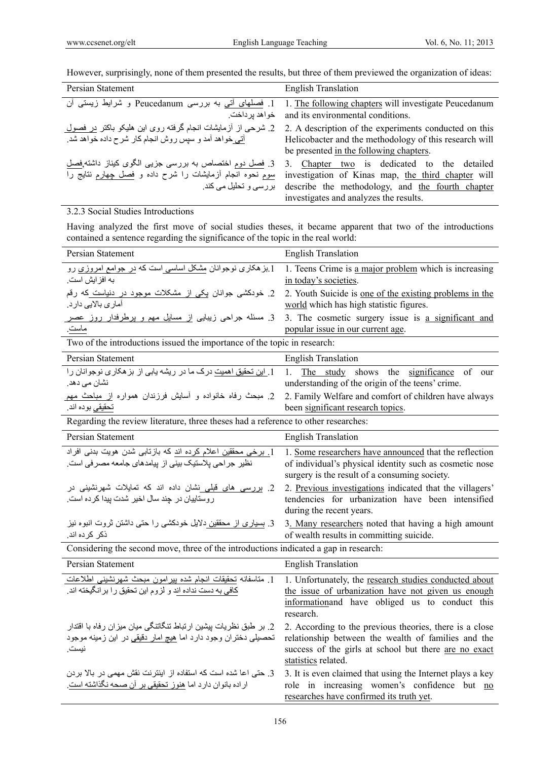However, surprisingly, none of them presented the results, but three of them previewed the organization of ideas:

| Persian Statement                                                                                                                                 | <b>English Translation</b>                                                                                                                                                                      |
|---------------------------------------------------------------------------------------------------------------------------------------------------|-------------------------------------------------------------------------------------------------------------------------------------------------------------------------------------------------|
| 1. فصلهای أتی به بررسی Peucedanum و شرایط زیستی أن<br>خو اهد بر داخت ِ                                                                            | 1. The following chapters will investigate Peucedanum<br>and its environmental conditions.                                                                                                      |
| 2. شرحی از آزمایشات انجام گرفته روی این هلیکو باکتر در فصول<br>آتی خواهد آمد و سپس روش انجام کار شرح داده خواهد شد.                               | 2. A description of the experiments conducted on this<br>Helicobacter and the methodology of this research will<br>be presented in the following chapters.                                      |
| 3. فصل دوم اختصاص به بررسی جزیی الگوی کیناز داشته فصل<br>سوم نحوه انجام أزمايشات را شرح داده و <u>فصل چهارم</u> نتايج را<br>بررسی و تحلیل می کند. | 3. Chapter two is dedicated to the detailed<br>investigation of Kinas map, the third chapter will<br>describe the methodology, and the fourth chapter<br>investigates and analyzes the results. |

# 3.2.3 Social Studies Introductions

Having analyzed the first move of social studies theses, it became apparent that two of the introductions contained a sentence regarding the significance of the topic in the real world:

| Persian Statement                                                                    | <b>English Translation</b>                                                                                   |  |
|--------------------------------------------------------------------------------------|--------------------------------------------------------------------------------------------------------------|--|
| <u>1 بز هکاری نوجوانان مشکل اساسی است که در جوامع امروزی رو</u><br>به افز ایش است.   | 1. Teens Crime is a major problem which is increasing<br>in today's societies.                               |  |
| 2. خودکشی جوانان <u>یکی از مشکلات موجود در دنیاست ک</u> ه رقم                        | 2. Youth Suicide is <u>one of the existing problems</u> in the                                               |  |
| آمار ي بالايي دار د.                                                                 | world which has high statistic figures.                                                                      |  |
| 3. مسئله جراحی زیبایی ا <u>ز مسایل مهم و پرطرفدار روز عصر</u>                        | 3. The cosmetic surgery issue is a significant and                                                           |  |
| ماست.                                                                                | popular issue in our current age.                                                                            |  |
| Two of the introductions issued the importance of the topic in research:             |                                                                                                              |  |
| Persian Statement                                                                    | <b>English Translation</b>                                                                                   |  |
| 1. این تحقیق اهمیت درک ما در ریشه پابی از بز هکاری نوجوانان را<br>نشان می دهد.       | The study shows the significance of<br>$1_{-}$<br>our<br>understanding of the origin of the teens' crime.    |  |
| 2. مبحث رفاه خانواده و أسايش فرزندان همواره <u>از مباحث مهم</u>                      | 2. Family Welfare and comfort of children have always                                                        |  |
| <u>تحقیقی</u> بوده اند <sub>.</sub>                                                  | been significant research topics.                                                                            |  |
| Regarding the review literature, three theses had a reference to other researches:   |                                                                                                              |  |
| Persian Statement                                                                    | <b>English Translation</b>                                                                                   |  |
| 1. برخی محققین اعلام کرده اند که بازتابی شدن هویت بدنی افراد                         | 1. Some researchers have announced that the reflection                                                       |  |
| نظیر جراحی پلاستیک بینی از پیامدهای جامعه مصرفی است.                                 | of individual's physical identity such as cosmetic nose                                                      |  |
|                                                                                      | surgery is the result of a consuming society.                                                                |  |
| 2. بررسی های قبلی نشان داده اند که تمایلات شهرنشینی در                               | 2. Previous investigations indicated that the villagers'                                                     |  |
| روستاییان در چند سال اخیر شدت پیدا کرده است.                                         | tendencies for urbanization have been intensified                                                            |  |
|                                                                                      | during the recent years.                                                                                     |  |
| 3. بسیاری از محققین دلایل خودکشی را حتی داشتن ثروت انبوه نیز                         | 3. Many researchers noted that having a high amount                                                          |  |
| ذكر كرده اند.                                                                        | of wealth results in committing suicide.                                                                     |  |
| Considering the second move, three of the introductions indicated a gap in research: |                                                                                                              |  |
| Persian Statement                                                                    | <b>English Translation</b>                                                                                   |  |
| 1. مناسفانه تحقيقات انجام شده بيرامون مبحث شهرنشيني اطلاعات                          | 1. Unfortunately, the research studies conducted about                                                       |  |
| كافي به دست نداده اند و لزوم اين تحقيق را بر انگيخته اند.                            | the issue of urbanization have not given us enough                                                           |  |
|                                                                                      | informationand have obliged us to conduct this                                                               |  |
|                                                                                      | research.                                                                                                    |  |
| 2. بر طبق نظريات بيشين ارتباط تنگاتنگي ميان ميز ان رفاه با اقتدار                    | 2. According to the previous theories, there is a close                                                      |  |
| تحصیلی دختران وجود دارد اما <u>هیچ امار دقیقی</u> در این زمینه موجود<br>نيست.        | relationship between the wealth of families and the<br>success of the girls at school but there are no exact |  |
|                                                                                      | statistics related.                                                                                          |  |
| 3. حتى اعا شده است كه استفاده از اينترنت نقش مهمى در بالا بردن                       | 3. It is even claimed that using the Internet plays a key                                                    |  |
| اراده بانوان دارد اما <u>هنوز</u> تحقیقی بر آن صحه نگذاشته است <sub>.</sub>          | role in increasing women's confidence but no                                                                 |  |
|                                                                                      | researches have confirmed its truth yet.                                                                     |  |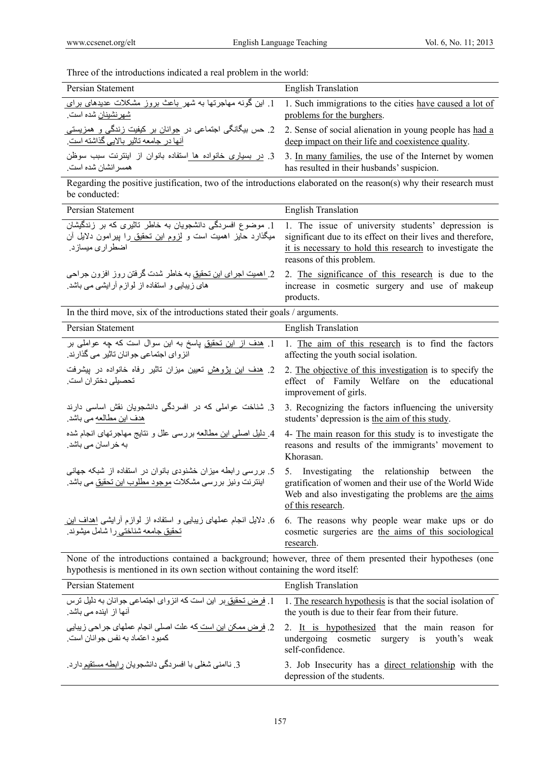Three of the introductions indicated a real problem in the world:

| Persian Statement                                                                                                                                          | <b>English Translation</b>                         |
|------------------------------------------------------------------------------------------------------------------------------------------------------------|----------------------------------------------------|
| l . Such immigrations to the cities have caused a lot of . این گونه مهاجرتها به شهر باعث بروز مشکلات عدیدهای برای<br>شهر نشینان شده است ِ                  | problems for the burghers.                         |
| 2 2. Sense of social alienation in young people has had a و حس بيگانگي اجتماعي در جوانان بر كيفيت زندگي و همزيستي<br>آنها در جامعه تاثیر بالایی گذاشته است | deep impact on their life and coexistence quality. |
| 3 . In many families, the use of the Internet by women و التقاده بانوان از اينترنت سبب سوظن<br>همسر انشان شده است                                          | has resulted in their husbands' suspicion.         |

Regarding the positive justification, two of the introductions elaborated on the reason(s) why their research must be conducted:

| Persian Statement                                                                                                                          | <b>English Translation</b>                                                                                                                                                                                |  |
|--------------------------------------------------------------------------------------------------------------------------------------------|-----------------------------------------------------------------------------------------------------------------------------------------------------------------------------------------------------------|--|
| 1. موضوع افسردگی دانشجویان به خاطر تاثیری که بر زندگیشان<br>میگذارد حایز اهمیت است و لزوم این تحقیق را پیرامون دلایل آن<br>اضطراری میسازد. | 1. The issue of university students' depression is<br>significant due to its effect on their lives and therefore,<br>it is necessary to hold this research to investigate the<br>reasons of this problem. |  |
| 2. اهميت اجراي اين تحقيق به خاطر شدت گرفتن روز افزون جراحي<br>های زیبایی و استفاده از لوازم آرایشی می باشد.                                | 2. The significance of this research is due to the<br>increase in cosmetic surgery and use of makeup<br>products.                                                                                         |  |
| In the third move, six of the introductions stated their goals / arguments.                                                                |                                                                                                                                                                                                           |  |
| Persian Statement                                                                                                                          | <b>English Translation</b>                                                                                                                                                                                |  |
| 1. هدف از این تحقیق پاسخ به این سوال است که چه عواملی بر<br>انزواي اجتماعي جوانان تاثير مي گذارند.                                         | 1. The aim of this research is to find the factors<br>affecting the youth social isolation.                                                                                                               |  |
| 2. هدف این بژوهش تعبین میزان تاثیر رفاه خانواده در پیشرفت<br>تحصيلى دختر ان است.                                                           | 2. The objective of this investigation is to specify the<br>effect of Family Welfare on<br>the educational<br>improvement of girls.                                                                       |  |
| 3. شناخت عواملی که در افسردگی دانشجویان نقش اساسی دارند<br>هدف این مطالعه می باشد.                                                         | 3. Recognizing the factors influencing the university<br>students' depression is the aim of this study.                                                                                                   |  |
| 4 ٍ دليل اصلي اين مطالعه بررسي علل و نتايج مهاجرتهاي انجام شده<br>به خر اسان مے باشد۔                                                      | 4- The main reason for this study is to investigate the<br>reasons and results of the immigrants' movement to<br>Khorasan.                                                                                |  |
| 5. بررسی رابطه میزان خشنودی بانوان در استفاده از شبکه جهانی<br>اينترنت ونيز بررسي مشكلات موجود مطلوب اين تحقيق مي باشد.                    | Investigating the relationship between<br>$5_{-}$<br>the<br>gratification of women and their use of the World Wide<br>Web and also investigating the problems are the aims<br>of this research.           |  |
| 6. دلایل انجام عملهای زیبایی و استفاده از لوازم آرایشی <u>اهداف این </u><br>تحقيق جامعه شناختي را شامل ميشوند.                             | 6. The reasons why people wear make ups or do<br>cosmetic surgeries are the aims of this sociological<br>research.                                                                                        |  |

None of the introductions contained a background; however, three of them presented their hypotheses (one hypothesis is mentioned in its own section without containing the word itself:

| Persian Statement                                                                               | <b>English Translation</b>                                                                                        |
|-------------------------------------------------------------------------------------------------|-------------------------------------------------------------------------------------------------------------------|
| 1. فر ض تحقیق بر این است که انز وای اجتماعی جوانان به دلیل تر س<br>آنها از اینده می باشد.       | 1. The research hypothesis is that the social isolation of<br>the youth is due to their fear from their future.   |
| 2. فرض ممكن اين است كه علت اصلى انجام عملهاى جراحى زيبايي<br>کمبو د اعتماد به نفس جو انان است ِ | 2. It is hypothesized that the main reason for<br>undergoing cosmetic surgery is youth's weak<br>self-confidence. |
| 3. ناامني شغلي با افسردگي دانشجويان رابطه مستقيم دارد.                                          | 3. Job Insecurity has a direct relationship with the<br>depression of the students.                               |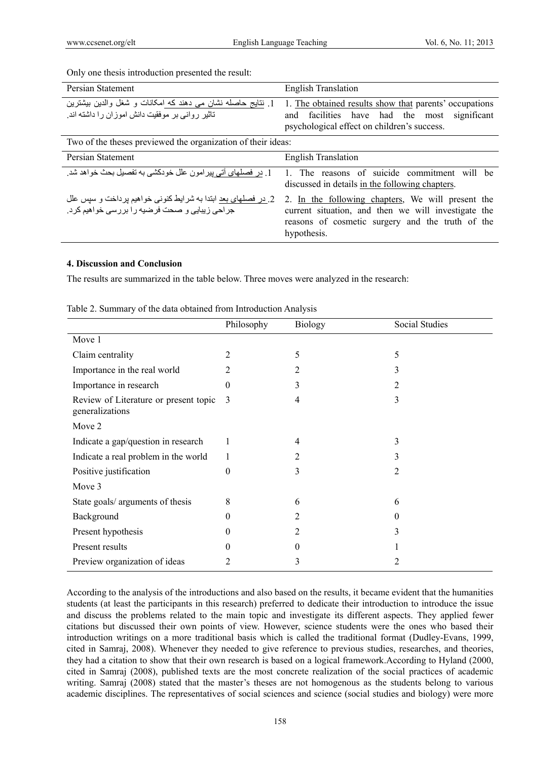| Persian Statement                                                                                               | <b>English Translation</b>                                                                                                                                                  |  |  |
|-----------------------------------------------------------------------------------------------------------------|-----------------------------------------------------------------------------------------------------------------------------------------------------------------------------|--|--|
| 1. نتايج حاصله نشان مي دهند كه امكانات و شغل والدين بيشترين<br>تاتیر روانی بر موفقیت دانش اموز ان را داشته اند. | 1. The obtained results show that parents' occupations<br>facilities have had the most significant<br>and<br>psychological effect on children's success.                    |  |  |
| Two of the theses previewed the organization of their ideas:                                                    |                                                                                                                                                                             |  |  |
| Persian Statement                                                                                               | <b>English Translation</b>                                                                                                                                                  |  |  |
| 1. در فصلهای آتی بیر امون علل خودکشی به تفصیل بحث خو اهد شد.                                                    | The reasons of suicide commitment will be<br>$\mathbf{1}$<br>discussed in details in the following chapters.                                                                |  |  |
| 2. در فصلهای بعد ابتدا به شرایط کنونی خواهیم پرداخت و سپس علل<br>جراحی زیبایی و صحت فرضیه را بررسی خواهیم کرد.  | 2. In the following chapters, We will present the<br>current situation, and then we will investigate the<br>reasons of cosmetic surgery and the truth of the<br>hypothesis. |  |  |

Only one thesis introduction presented the result:

#### **4. Discussion and Conclusion**

The results are summarized in the table below. Three moves were analyzed in the research:

|                                                          | Philosophy | <b>Biology</b> | Social Studies |
|----------------------------------------------------------|------------|----------------|----------------|
| Move 1                                                   |            |                |                |
| Claim centrality                                         | 2          | 5              | 5              |
| Importance in the real world                             | 2          | 2              | 3              |
| Importance in research                                   | 0          | 3              | 2              |
| Review of Literature or present topic<br>generalizations | 3          | 4              | 3              |
| Move 2                                                   |            |                |                |
| Indicate a gap/question in research                      | 1          | 4              | 3              |
| Indicate a real problem in the world                     | 1          | 2              | 3              |
| Positive justification                                   | 0          | 3              | 2              |
| Move 3                                                   |            |                |                |
| State goals/ arguments of thesis                         | 8          | 6              | 6              |
| Background                                               | 0          | 2              | 0              |
| Present hypothesis                                       | 0          | 2              | 3              |
| Present results                                          | 0          | $\theta$       |                |
| Preview organization of ideas                            |            | 3              | 2              |

Table 2. Summary of the data obtained from Introduction Analysis

According to the analysis of the introductions and also based on the results, it became evident that the humanities students (at least the participants in this research) preferred to dedicate their introduction to introduce the issue and discuss the problems related to the main topic and investigate its different aspects. They applied fewer citations but discussed their own points of view. However, science students were the ones who based their introduction writings on a more traditional basis which is called the traditional format (Dudley-Evans, 1999, cited in Samraj, 2008). Whenever they needed to give reference to previous studies, researches, and theories, they had a citation to show that their own research is based on a logical framework.According to Hyland (2000, cited in Samraj (2008), published texts are the most concrete realization of the social practices of academic writing. Samraj (2008) stated that the master's theses are not homogenous as the students belong to various academic disciplines. The representatives of social sciences and science (social studies and biology) were more